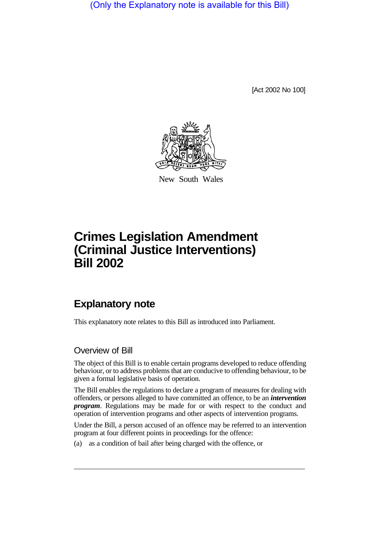(Only the Explanatory note is available for this Bill)

[Act 2002 No 100]



New South Wales

# **Crimes Legislation Amendment (Criminal Justice Interventions) Bill 2002**

## **Explanatory note**

This explanatory note relates to this Bill as introduced into Parliament.

#### Overview of Bill

The object of this Bill is to enable certain programs developed to reduce offending behaviour, or to address problems that are conducive to offending behaviour, to be given a formal legislative basis of operation.

The Bill enables the regulations to declare a program of measures for dealing with offenders, or persons alleged to have committed an offence, to be an *intervention program*. Regulations may be made for or with respect to the conduct and operation of intervention programs and other aspects of intervention programs.

Under the Bill, a person accused of an offence may be referred to an intervention program at four different points in proceedings for the offence:

(a) as a condition of bail after being charged with the offence, or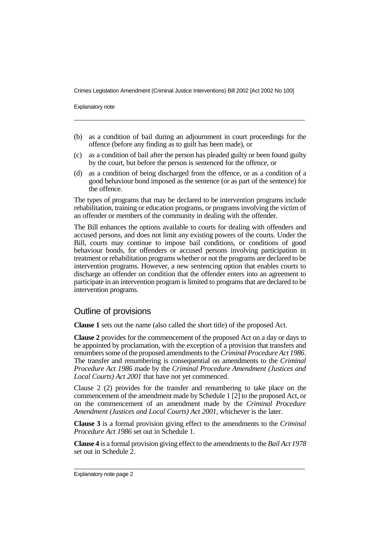Explanatory note

- (b) as a condition of bail during an adjournment in court proceedings for the offence (before any finding as to guilt has been made), or
- (c) as a condition of bail after the person has pleaded guilty or been found guilty by the court, but before the person is sentenced for the offence, or
- (d) as a condition of being discharged from the offence, or as a condition of a good behaviour bond imposed as the sentence (or as part of the sentence) for the offence.

The types of programs that may be declared to be intervention programs include rehabilitation, training or education programs, or programs involving the victim of an offender or members of the community in dealing with the offender.

The Bill enhances the options available to courts for dealing with offenders and accused persons, and does not limit any existing powers of the courts. Under the Bill, courts may continue to impose bail conditions, or conditions of good behaviour bonds, for offenders or accused persons involving participation in treatment or rehabilitation programs whether or not the programs are declared to be intervention programs. However, a new sentencing option that enables courts to discharge an offender on condition that the offender enters into an agreement to participate in an intervention program islimited to programs that are declared to be intervention programs.

#### Outline of provisions

**Clause 1** sets out the name (also called the short title) of the proposed Act.

**Clause 2** provides for the commencement of the proposed Act on a day or days to be appointed by proclamation, with the exception of a provision that transfers and renumbers some of the proposed amendments to the*Criminal Procedure Act 1986*. The transfer and renumbering is consequential on amendments to the *Criminal Procedure Act 1986* made by the *Criminal Procedure Amendment (Justices and Local Courts) Act 2001* that have not yet commenced.

Clause 2 (2) provides for the transfer and renumbering to take place on the commencement of the amendment made by Schedule 1 [2] to the proposed Act, or on the commencement of an amendment made by the *Criminal Procedure Amendment (Justices and Local Courts) Act 2001*, whichever is the later.

**Clause 3** is a formal provision giving effect to the amendments to the *Criminal Procedure Act 1986* set out in Schedule 1.

**Clause 4** is a formal provision giving effect to the amendments to the *Bail Act 1978* set out in Schedule 2.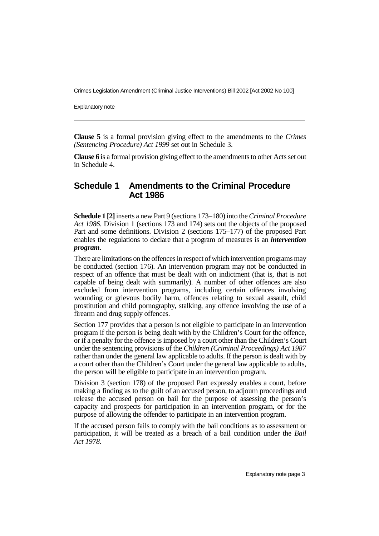Explanatory note

**Clause 5** is a formal provision giving effect to the amendments to the *Crimes (Sentencing Procedure) Act 1999* set out in Schedule 3.

**Clause 6** is a formal provision giving effect to the amendments to other Acts set out in Schedule 4.

#### **Schedule 1 Amendments to the Criminal Procedure Act 1986**

**Schedule 1 [2]**inserts a new Part 9 (sections 173–180) into the*Criminal Procedure Act 1986*. Division 1 (sections 173 and 174) sets out the objects of the proposed Part and some definitions. Division 2 (sections 175–177) of the proposed Part enables the regulations to declare that a program of measures is an *intervention program*.

There are limitations on the offences in respect of which intervention programs may be conducted (section 176). An intervention program may not be conducted in respect of an offence that must be dealt with on indictment (that is, that is not capable of being dealt with summarily). A number of other offences are also excluded from intervention programs, including certain offences involving wounding or grievous bodily harm, offences relating to sexual assault, child prostitution and child pornography, stalking, any offence involving the use of a firearm and drug supply offences.

Section 177 provides that a person is not eligible to participate in an intervention program if the person is being dealt with by the Children's Court for the offence, or if a penalty for the offence is imposed by a court other than the Children's Court under the sentencing provisions of the *Children (Criminal Proceedings) Act 1987* rather than under the general law applicable to adults. If the person is dealt with by a court other than the Children's Court under the general law applicable to adults, the person will be eligible to participate in an intervention program.

Division 3 (section 178) of the proposed Part expressly enables a court, before making a finding as to the guilt of an accused person, to adjourn proceedings and release the accused person on bail for the purpose of assessing the person's capacity and prospects for participation in an intervention program, or for the purpose of allowing the offender to participate in an intervention program.

If the accused person fails to comply with the bail conditions as to assessment or participation, it will be treated as a breach of a bail condition under the *Bail Act 1978*.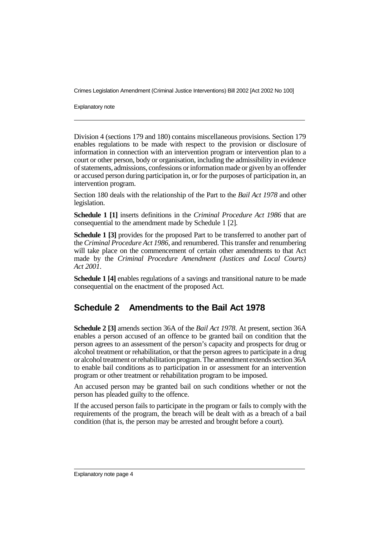Explanatory note

Division 4 (sections 179 and 180) contains miscellaneous provisions. Section 179 enables regulations to be made with respect to the provision or disclosure of information in connection with an intervention program or intervention plan to a court or other person, body or organisation, including the admissibility in evidence of statements, admissions, confessions or information made or given by an offender or accused person during participation in, or for the purposes of participation in, an intervention program.

Section 180 deals with the relationship of the Part to the *Bail Act 1978* and other legislation.

**Schedule 1 [1]** inserts definitions in the *Criminal Procedure Act 1986* that are consequential to the amendment made by Schedule 1 [2].

**Schedule 1 [3]** provides for the proposed Part to be transferred to another part of the *Criminal Procedure Act 1986*, and renumbered. This transfer and renumbering will take place on the commencement of certain other amendments to that Act made by the *Criminal Procedure Amendment (Justices and Local Courts) Act 2001*.

**Schedule 1 [4]** enables regulations of a savings and transitional nature to be made consequential on the enactment of the proposed Act.

#### **Schedule 2 Amendments to the Bail Act 1978**

**Schedule 2 [3]** amends section 36A of the *Bail Act 1978*. At present, section 36A enables a person accused of an offence to be granted bail on condition that the person agrees to an assessment of the person's capacity and prospects for drug or alcohol treatment or rehabilitation, or that the person agrees to participate in a drug or alcohol treatment or rehabilitation program. The amendment extends section 36A to enable bail conditions as to participation in or assessment for an intervention program or other treatment or rehabilitation program to be imposed.

An accused person may be granted bail on such conditions whether or not the person has pleaded guilty to the offence.

If the accused person fails to participate in the program or fails to comply with the requirements of the program, the breach will be dealt with as a breach of a bail condition (that is, the person may be arrested and brought before a court).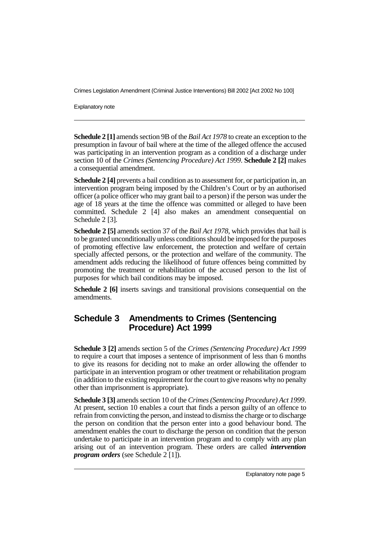Explanatory note

**Schedule 2 [1]** amends section 9B of the *Bail Act 1978* to create an exception to the presumption in favour of bail where at the time of the alleged offence the accused was participating in an intervention program as a condition of a discharge under section 10 of the *Crimes (Sentencing Procedure) Act 1999*. **Schedule 2 [2]** makes a consequential amendment.

**Schedule 2 [4]** prevents a bail condition as to assessment for, or participation in, an intervention program being imposed by the Children's Court or by an authorised officer (a police officer who may grant bail to a person) if the person was under the age of 18 years at the time the offence was committed or alleged to have been committed. Schedule 2 [4] also makes an amendment consequential on Schedule 2 [3].

**Schedule 2 [5]** amends section 37 of the *Bail Act 1978*, which provides that bail is to be granted unconditionally unless conditions should be imposed for the purposes of promoting effective law enforcement, the protection and welfare of certain specially affected persons, or the protection and welfare of the community. The amendment adds reducing the likelihood of future offences being committed by promoting the treatment or rehabilitation of the accused person to the list of purposes for which bail conditions may be imposed.

**Schedule 2 [6]** inserts savings and transitional provisions consequential on the amendments.

### **Schedule 3 Amendments to Crimes (Sentencing Procedure) Act 1999**

**Schedule 3 [2]** amends section 5 of the *Crimes (Sentencing Procedure) Act 1999* to require a court that imposes a sentence of imprisonment of less than 6 months to give its reasons for deciding not to make an order allowing the offender to participate in an intervention program or other treatment or rehabilitation program (in addition to the existing requirement for the court to give reasons why no penalty other than imprisonment is appropriate).

**Schedule 3 [3]** amends section 10 of the *Crimes (Sentencing Procedure) Act 1999*. At present, section 10 enables a court that finds a person guilty of an offence to refrain from convicting the person, and instead to dismiss the charge or to discharge the person on condition that the person enter into a good behaviour bond. The amendment enables the court to discharge the person on condition that the person undertake to participate in an intervention program and to comply with any plan arising out of an intervention program. These orders are called *intervention program orders* (see Schedule 2 [1]).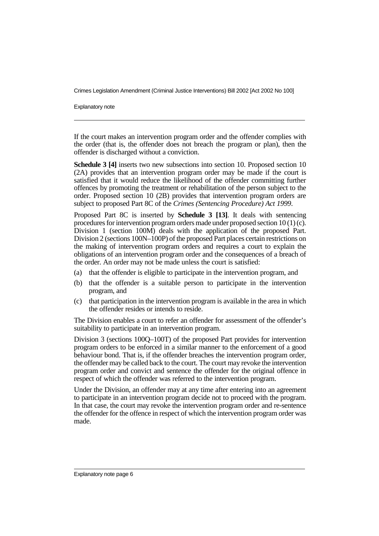Explanatory note

If the court makes an intervention program order and the offender complies with the order (that is, the offender does not breach the program or plan), then the offender is discharged without a conviction.

**Schedule 3 [4]** inserts two new subsections into section 10. Proposed section 10 (2A) provides that an intervention program order may be made if the court is satisfied that it would reduce the likelihood of the offender committing further offences by promoting the treatment or rehabilitation of the person subject to the order. Proposed section 10 (2B) provides that intervention program orders are subject to proposed Part 8C of the *Crimes (Sentencing Procedure) Act 1999*.

Proposed Part 8C is inserted by **Schedule 3 [13]**. It deals with sentencing procedures for intervention program orders made under proposed section 10 (1) (c). Division 1 (section 100M) deals with the application of the proposed Part. Division 2 (sections 100N–100P) of the proposed Part places certain restrictions on the making of intervention program orders and requires a court to explain the obligations of an intervention program order and the consequences of a breach of the order. An order may not be made unless the court is satisfied:

- (a) that the offender is eligible to participate in the intervention program, and
- (b) that the offender is a suitable person to participate in the intervention program, and
- (c) that participation in the intervention program is available in the area in which the offender resides or intends to reside.

The Division enables a court to refer an offender for assessment of the offender's suitability to participate in an intervention program.

Division 3 (sections 100Q–100T) of the proposed Part provides for intervention program orders to be enforced in a similar manner to the enforcement of a good behaviour bond. That is, if the offender breaches the intervention program order, the offender may be called back to the court. The court may revoke the intervention program order and convict and sentence the offender for the original offence in respect of which the offender was referred to the intervention program.

Under the Division, an offender may at any time after entering into an agreement to participate in an intervention program decide not to proceed with the program. In that case, the court may revoke the intervention program order and re-sentence the offender for the offence in respect of which the intervention program order was made.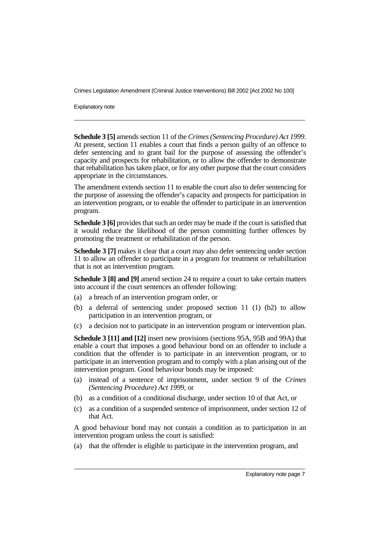Explanatory note

**Schedule 3 [5]** amends section 11 of the *Crimes (Sentencing Procedure) Act 1999*. At present, section 11 enables a court that finds a person guilty of an offence to defer sentencing and to grant bail for the purpose of assessing the offender's capacity and prospects for rehabilitation, or to allow the offender to demonstrate that rehabilitation has taken place, or for any other purpose that the court considers appropriate in the circumstances.

The amendment extends section 11 to enable the court also to defer sentencing for the purpose of assessing the offender's capacity and prospects for participation in an intervention program, or to enable the offender to participate in an intervention program.

**Schedule 3 [6]** provides that such an order may be made if the court is satisfied that it would reduce the likelihood of the person committing further offences by promoting the treatment or rehabilitation of the person.

**Schedule 3 [7]** makes it clear that a court may also defer sentencing under section 11 to allow an offender to participate in a program for treatment or rehabilitation that is not an intervention program.

**Schedule 3 [8] and [9]** amend section 24 to require a court to take certain matters into account if the court sentences an offender following:

- (a) a breach of an intervention program order, or
- (b) a deferral of sentencing under proposed section 11 (1) (b2) to allow participation in an intervention program, or
- (c) a decision not to participate in an intervention program or intervention plan.

**Schedule 3 [11] and [12]** insert new provisions (sections 95A, 95B and 99A) that enable a court that imposes a good behaviour bond on an offender to include a condition that the offender is to participate in an intervention program, or to participate in an intervention program and to comply with a plan arising out of the intervention program. Good behaviour bonds may be imposed:

- (a) instead of a sentence of imprisonment, under section 9 of the *Crimes (Sentencing Procedure) Act 1999*, or
- (b) as a condition of a conditional discharge, under section 10 of that Act, or
- (c) as a condition of a suspended sentence of imprisonment, under section 12 of that Act.

A good behaviour bond may not contain a condition as to participation in an intervention program unless the court is satisfied:

(a) that the offender is eligible to participate in the intervention program, and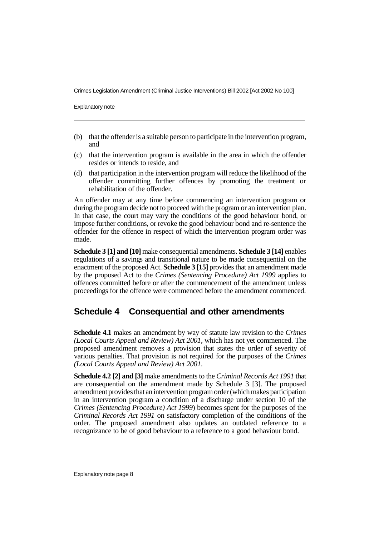Explanatory note

- (b) that the offender is a suitable person to participate in the intervention program, and
- (c) that the intervention program is available in the area in which the offender resides or intends to reside, and
- (d) that participation in the intervention program will reduce the likelihood of the offender committing further offences by promoting the treatment or rehabilitation of the offender.

An offender may at any time before commencing an intervention program or during the program decide not to proceed with the program or an intervention plan. In that case, the court may vary the conditions of the good behaviour bond, or impose further conditions, or revoke the good behaviour bond and re-sentence the offender for the offence in respect of which the intervention program order was made.

**Schedule 3 [1] and [10]** make consequential amendments. **Schedule 3 [14]** enables regulations of a savings and transitional nature to be made consequential on the enactment of the proposed Act. **Schedule 3 [15]** provides that an amendment made by the proposed Act to the *Crimes (Sentencing Procedure) Act 1999* applies to offences committed before or after the commencement of the amendment unless proceedings for the offence were commenced before the amendment commenced.

#### **Schedule 4 Consequential and other amendments**

**Schedule 4.1** makes an amendment by way of statute law revision to the *Crimes (Local Courts Appeal and Review) Act 2001*, which has not yet commenced. The proposed amendment removes a provision that states the order of severity of various penalties. That provision is not required for the purposes of the *Crimes (Local Courts Appeal and Review) Act 2001*.

**Schedule 4.2 [2] and [3]** make amendments to the *Criminal Records Act 1991* that are consequential on the amendment made by Schedule 3 [3]. The proposed amendment provides that an intervention program order (which makes participation in an intervention program a condition of a discharge under section 10 of the *Crimes (Sentencing Procedure) Act 1999*) becomes spent for the purposes of the *Criminal Records Act 1991* on satisfactory completion of the conditions of the order. The proposed amendment also updates an outdated reference to a recognizance to be of good behaviour to a reference to a good behaviour bond.